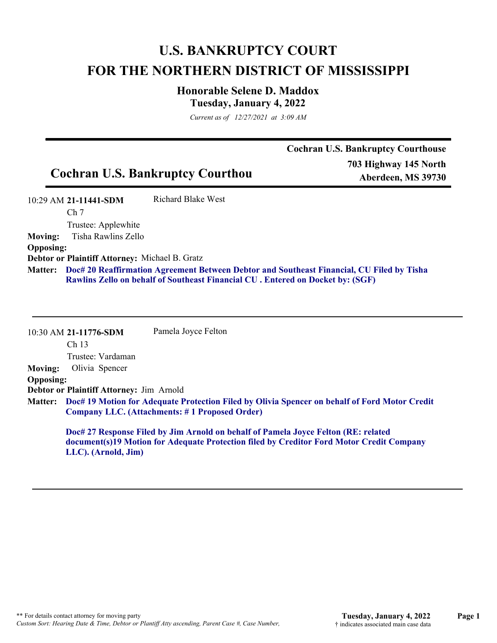# **U.S. BANKRUPTCY COURT FOR THE NORTHERN DISTRICT OF MISSISSIPPI**

## **Honorable Selene D. Maddox Tuesday, January 4, 2022**

*Current as of 12/27/2021 at 3:09 AM*

Cochran **II.S.** Bankruptcy Courthouse

| <b>Cochran U.S. Bankruptcy Courthou</b> |                                            |                    | Cocin an U.S. Danki upicy Courthouse<br>703 Highway 145 North<br>Aberdeen, MS 39730 |
|-----------------------------------------|--------------------------------------------|--------------------|-------------------------------------------------------------------------------------|
|                                         | 10:29 AM 21-11441-SDM<br>Ch <sub>7</sub>   | Richard Blake West |                                                                                     |
| <b>Moving:</b>                          | Trustee: Applewhite<br>Tisha Rawlins Zello |                    |                                                                                     |

**Opposing:**

**Debtor or Plaintiff Attorney:** Michael B. Gratz

**Doc# 20 Reaffirmation Agreement Between Debtor and Southeast Financial, CU Filed by Tisha Matter: Rawlins Zello on behalf of Southeast Financial CU . Entered on Docket by: (SGF)**

10:30 AM **21-11776-SDM**  Ch 13 Trustee: Vardaman Pamela Joyce Felton **Moving:** Olivia Spencer **Opposing: Debtor or Plaintiff Attorney:** Jim Arnold **Doc# 19 Motion for Adequate Protection Filed by Olivia Spencer on behalf of Ford Motor Credit Matter: Company LLC. (Attachments: # 1 Proposed Order) Doc# 27 Response Filed by Jim Arnold on behalf of Pamela Joyce Felton (RE: related document(s)19 Motion for Adequate Protection filed by Creditor Ford Motor Credit Company LLC). (Arnold, Jim)**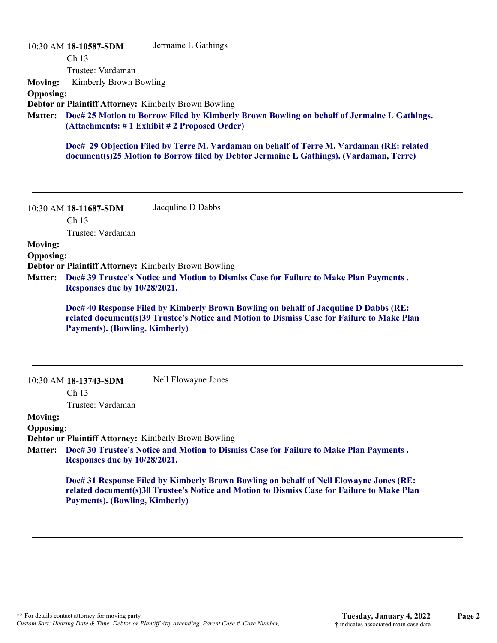|                  | 10:30 AM 18-10587-SDM                                                                                                                                 | Jermaine L Gathings                                                                                                                                                                |  |
|------------------|-------------------------------------------------------------------------------------------------------------------------------------------------------|------------------------------------------------------------------------------------------------------------------------------------------------------------------------------------|--|
|                  | Ch <sub>13</sub>                                                                                                                                      |                                                                                                                                                                                    |  |
|                  | Trustee: Vardaman                                                                                                                                     |                                                                                                                                                                                    |  |
| <b>Moving:</b>   | Kimberly Brown Bowling                                                                                                                                |                                                                                                                                                                                    |  |
| <b>Opposing:</b> |                                                                                                                                                       |                                                                                                                                                                                    |  |
|                  |                                                                                                                                                       | <b>Debtor or Plaintiff Attorney: Kimberly Brown Bowling</b>                                                                                                                        |  |
|                  | Matter: Doc# 25 Motion to Borrow Filed by Kimberly Brown Bowling on behalf of Jermaine L Gathings.<br>$(Attachments: # 1 Exhibit # 2 Proposed Order)$ |                                                                                                                                                                                    |  |
|                  |                                                                                                                                                       | Doc# 29 Objection Filed by Terre M. Vardaman on behalf of Terre M. Vardaman (RE: related<br>document(s)25 Motion to Borrow filed by Debtor Jermaine L Gathings). (Vardaman, Terre) |  |

10:30 AM **18-11687-SDM**  Ch 13 Trustee: Vardaman Jacquline D Dabbs

#### **Moving: Opposing:**

**Debtor or Plaintiff Attorney:** Kimberly Brown Bowling

**Doc# 39 Trustee's Notice and Motion to Dismiss Case for Failure to Make Plan Payments . Matter: Responses due by 10/28/2021.**

**Doc# 40 Response Filed by Kimberly Brown Bowling on behalf of Jacquline D Dabbs (RE: related document(s)39 Trustee's Notice and Motion to Dismiss Case for Failure to Make Plan Payments). (Bowling, Kimberly)**

10:30 AM **18-13743-SDM**  Nell Elowayne Jones

Ch 13

Trustee: Vardaman

**Moving:**

**Opposing:**

**Debtor or Plaintiff Attorney:** Kimberly Brown Bowling

**Doc# 30 Trustee's Notice and Motion to Dismiss Case for Failure to Make Plan Payments . Matter: Responses due by 10/28/2021.**

**Doc# 31 Response Filed by Kimberly Brown Bowling on behalf of Nell Elowayne Jones (RE: related document(s)30 Trustee's Notice and Motion to Dismiss Case for Failure to Make Plan Payments). (Bowling, Kimberly)**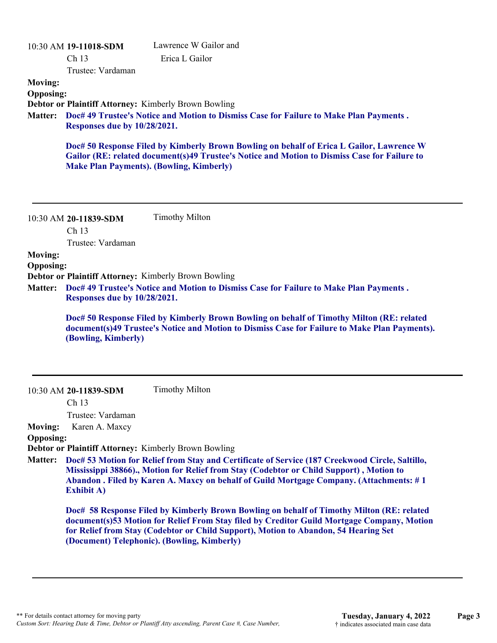|                                    | 10:30 AM 19-11018-SDM                 | Lawrence W Gailor and                                                                                                                                                                                                                                                                                                         |
|------------------------------------|---------------------------------------|-------------------------------------------------------------------------------------------------------------------------------------------------------------------------------------------------------------------------------------------------------------------------------------------------------------------------------|
|                                    | Ch 13                                 | Erica L Gailor                                                                                                                                                                                                                                                                                                                |
|                                    | Trustee: Vardaman                     |                                                                                                                                                                                                                                                                                                                               |
| <b>Moving:</b><br><b>Opposing:</b> |                                       |                                                                                                                                                                                                                                                                                                                               |
|                                    |                                       | <b>Debtor or Plaintiff Attorney: Kimberly Brown Bowling</b>                                                                                                                                                                                                                                                                   |
| <b>Matter:</b>                     |                                       | Doc# 49 Trustee's Notice and Motion to Dismiss Case for Failure to Make Plan Payments.                                                                                                                                                                                                                                        |
|                                    | <b>Responses due by 10/28/2021.</b>   |                                                                                                                                                                                                                                                                                                                               |
|                                    |                                       | Doc# 50 Response Filed by Kimberly Brown Bowling on behalf of Erica L Gailor, Lawrence W<br>Gailor (RE: related document(s)49 Trustee's Notice and Motion to Dismiss Case for Failure to<br><b>Make Plan Payments). (Bowling, Kimberly)</b>                                                                                   |
|                                    | 10:30 AM 20-11839-SDM<br>Ch 13        | <b>Timothy Milton</b>                                                                                                                                                                                                                                                                                                         |
|                                    | Trustee: Vardaman                     |                                                                                                                                                                                                                                                                                                                               |
| <b>Moving:</b>                     |                                       |                                                                                                                                                                                                                                                                                                                               |
| <b>Opposing:</b>                   |                                       |                                                                                                                                                                                                                                                                                                                               |
|                                    |                                       | <b>Debtor or Plaintiff Attorney: Kimberly Brown Bowling</b>                                                                                                                                                                                                                                                                   |
| <b>Matter:</b>                     | Responses due by 10/28/2021.          | Doc# 49 Trustee's Notice and Motion to Dismiss Case for Failure to Make Plan Payments.                                                                                                                                                                                                                                        |
|                                    | (Bowling, Kimberly)                   | Doc# 50 Response Filed by Kimberly Brown Bowling on behalf of Timothy Milton (RE: related<br>document(s)49 Trustee's Notice and Motion to Dismiss Case for Failure to Make Plan Payments).                                                                                                                                    |
|                                    | 10:30 AM 20-11839-SDM                 | <b>Timothy Milton</b>                                                                                                                                                                                                                                                                                                         |
|                                    | Ch <sub>13</sub><br>Trustee: Vardaman |                                                                                                                                                                                                                                                                                                                               |
| <b>Moving:</b>                     | Karen A. Maxcy                        |                                                                                                                                                                                                                                                                                                                               |
| <b>Opposing:</b>                   |                                       |                                                                                                                                                                                                                                                                                                                               |
|                                    |                                       | Debtor or Plaintiff Attorney: Kimberly Brown Bowling                                                                                                                                                                                                                                                                          |
| <b>Matter:</b>                     | <b>Exhibit A)</b>                     | Doc# 53 Motion for Relief from Stay and Certificate of Service (187 Creekwood Circle, Saltillo,<br>Mississippi 38866)., Motion for Relief from Stay (Codebtor or Child Support), Motion to<br>Abandon . Filed by Karen A. Maxcy on behalf of Guild Mortgage Company. (Attachments: #1)                                        |
|                                    |                                       | Doc# 58 Response Filed by Kimberly Brown Bowling on behalf of Timothy Milton (RE: related<br>document(s)53 Motion for Relief From Stay filed by Creditor Guild Mortgage Company, Motion<br>for Relief from Stay (Codebtor or Child Support), Motion to Abandon, 54 Hearing Set<br>(Document) Telephonic). (Bowling, Kimberly) |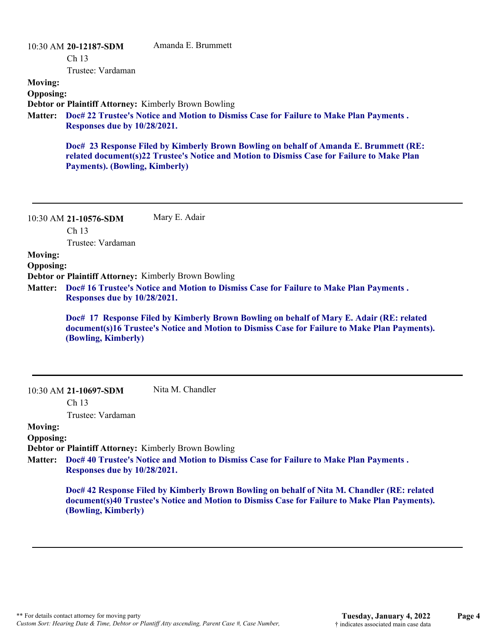|                                    | 10:30 AM 20-12187-SDM<br>Ch <sub>13</sub><br>Trustee: Vardaman                                                         | Amanda E. Brummett                                                                                                                                                                  |
|------------------------------------|------------------------------------------------------------------------------------------------------------------------|-------------------------------------------------------------------------------------------------------------------------------------------------------------------------------------|
| <b>Moving:</b><br><b>Opposing:</b> |                                                                                                                        | Debtor or Plaintiff Attorney: Kimberly Brown Bowling                                                                                                                                |
| <b>Matter:</b>                     | Doc# 22 Trustee's Notice and Motion to Dismiss Case for Failure to Make Plan Payments.<br>Responses due by 10/28/2021. |                                                                                                                                                                                     |
|                                    | <b>Payments). (Bowling, Kimberly)</b>                                                                                  | Doc# 23 Response Filed by Kimberly Brown Bowling on behalf of Amanda E. Brummett (RE:<br>related document(s)22 Trustee's Notice and Motion to Dismiss Case for Failure to Make Plan |
|                                    | 10:30 AM 21-10576-SDM<br>Ch <sub>13</sub>                                                                              | Mary E. Adair                                                                                                                                                                       |
| <b>Moving:</b>                     | Trustee: Vardaman                                                                                                      |                                                                                                                                                                                     |

**Opposing:**

**Debtor or Plaintiff Attorney:** Kimberly Brown Bowling

**Doc# 16 Trustee's Notice and Motion to Dismiss Case for Failure to Make Plan Payments . Matter: Responses due by 10/28/2021.**

**Doc# 17 Response Filed by Kimberly Brown Bowling on behalf of Mary E. Adair (RE: related document(s)16 Trustee's Notice and Motion to Dismiss Case for Failure to Make Plan Payments). (Bowling, Kimberly)**

10:30 AM **21-10697-SDM**  Nita M. Chandler

Ch 13

Trustee: Vardaman

# **Moving:**

**Opposing:**

**Debtor or Plaintiff Attorney:** Kimberly Brown Bowling

**Doc# 40 Trustee's Notice and Motion to Dismiss Case for Failure to Make Plan Payments . Matter: Responses due by 10/28/2021.**

> **Doc# 42 Response Filed by Kimberly Brown Bowling on behalf of Nita M. Chandler (RE: related document(s)40 Trustee's Notice and Motion to Dismiss Case for Failure to Make Plan Payments). (Bowling, Kimberly)**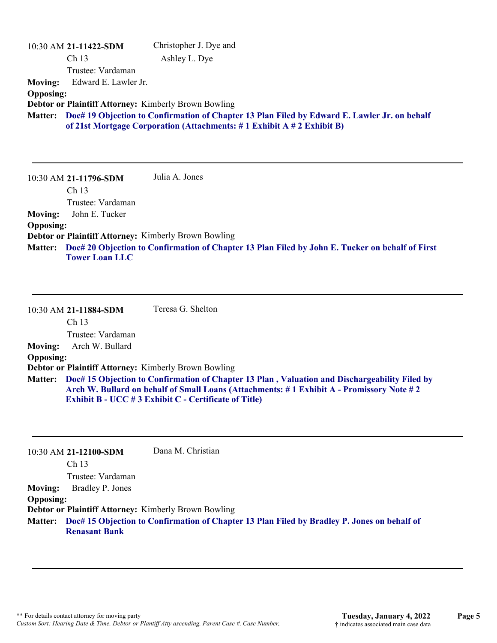|                  | 10:30 AM 21-11422-SDM                                                                                                                                                 | Christopher J. Dye and |
|------------------|-----------------------------------------------------------------------------------------------------------------------------------------------------------------------|------------------------|
|                  | Ch <sub>13</sub>                                                                                                                                                      | Ashley L. Dye          |
|                  | Trustee: Vardaman                                                                                                                                                     |                        |
| <b>Moving:</b>   | Edward E. Lawler Jr.                                                                                                                                                  |                        |
| <b>Opposing:</b> |                                                                                                                                                                       |                        |
|                  | Debtor or Plaintiff Attorney: Kimberly Brown Bowling                                                                                                                  |                        |
| <b>Matter:</b>   | Doc# 19 Objection to Confirmation of Chapter 13 Plan Filed by Edward E. Lawler Jr. on behalf<br>of 21st Mortgage Corporation (Attachments: #1 Exhibit A #2 Exhibit B) |                        |

10:30 AM **21-11796-SDM**  Ch 13 Trustee: Vardaman Julia A. Jones **Moving:** John E. Tucker **Opposing: Debtor or Plaintiff Attorney:** Kimberly Brown Bowling **Doc# 20 Objection to Confirmation of Chapter 13 Plan Filed by John E. Tucker on behalf of First Matter: Tower Loan LLC**

10:30 AM **21-11884-SDM**  Ch 13 Trustee: Vardaman Teresa G. Shelton **Moving:** Arch W. Bullard **Opposing: Debtor or Plaintiff Attorney:** Kimberly Brown Bowling **Doc# 15 Objection to Confirmation of Chapter 13 Plan , Valuation and Dischargeability Filed by Matter: Arch W. Bullard on behalf of Small Loans (Attachments: # 1 Exhibit A - Promissory Note # 2 Exhibit B - UCC # 3 Exhibit C - Certificate of Title)**

|                  | 10:30 AM 21-12100-SDM | Dana M. Christian                                                                                   |
|------------------|-----------------------|-----------------------------------------------------------------------------------------------------|
|                  | Ch <sub>13</sub>      |                                                                                                     |
|                  | Trustee: Vardaman     |                                                                                                     |
| <b>Moving:</b>   | Bradley P. Jones      |                                                                                                     |
| <b>Opposing:</b> |                       |                                                                                                     |
|                  |                       | <b>Debtor or Plaintiff Attorney: Kimberly Brown Bowling</b>                                         |
|                  | <b>Renasant Bank</b>  | Matter: Doc# 15 Objection to Confirmation of Chapter 13 Plan Filed by Bradley P. Jones on behalf of |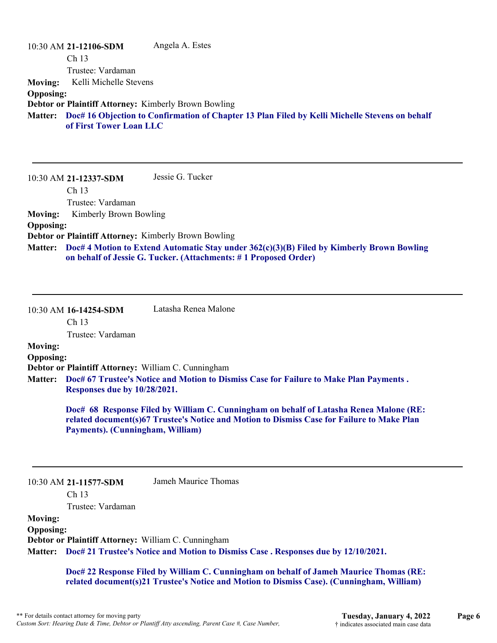|                  | 10:30 AM 21-12106-SDM                                       | Angela A. Estes                                                                                        |
|------------------|-------------------------------------------------------------|--------------------------------------------------------------------------------------------------------|
|                  | Ch <sub>13</sub>                                            |                                                                                                        |
|                  | Trustee: Vardaman                                           |                                                                                                        |
| <b>Moving:</b>   | Kelli Michelle Stevens                                      |                                                                                                        |
| <b>Opposing:</b> |                                                             |                                                                                                        |
|                  | <b>Debtor or Plaintiff Attorney: Kimberly Brown Bowling</b> |                                                                                                        |
|                  | of First Tower Loan LLC                                     | Matter: Doc# 16 Objection to Confirmation of Chapter 13 Plan Filed by Kelli Michelle Stevens on behalf |

10:30 AM **21-12337-SDM**  Ch 13 Trustee: Vardaman Jessie G. Tucker **Moving:** Kimberly Brown Bowling **Opposing: Debtor or Plaintiff Attorney:** Kimberly Brown Bowling **Doc# 4 Motion to Extend Automatic Stay under 362(c)(3)(B) Filed by Kimberly Brown Bowling Matter: on behalf of Jessie G. Tucker. (Attachments: # 1 Proposed Order)**

10:30 AM **16-14254-SDM**  Latasha Renea Malone

Ch 13

Trustee: Vardaman

# **Moving:**

**Opposing:**

**Debtor or Plaintiff Attorney:** William C. Cunningham

**Doc# 67 Trustee's Notice and Motion to Dismiss Case for Failure to Make Plan Payments . Matter: Responses due by 10/28/2021.**

> **Doc# 68 Response Filed by William C. Cunningham on behalf of Latasha Renea Malone (RE: related document(s)67 Trustee's Notice and Motion to Dismiss Case for Failure to Make Plan Payments). (Cunningham, William)**

10:30 AM **21-11577-SDM** 

Jameh Maurice Thomas

Ch 13

Trustee: Vardaman

**Moving: Opposing: Debtor or Plaintiff Attorney:** William C. Cunningham **Doc# 21 Trustee's Notice and Motion to Dismiss Case . Responses due by 12/10/2021. Matter:**

> **Doc# 22 Response Filed by William C. Cunningham on behalf of Jameh Maurice Thomas (RE: related document(s)21 Trustee's Notice and Motion to Dismiss Case). (Cunningham, William)**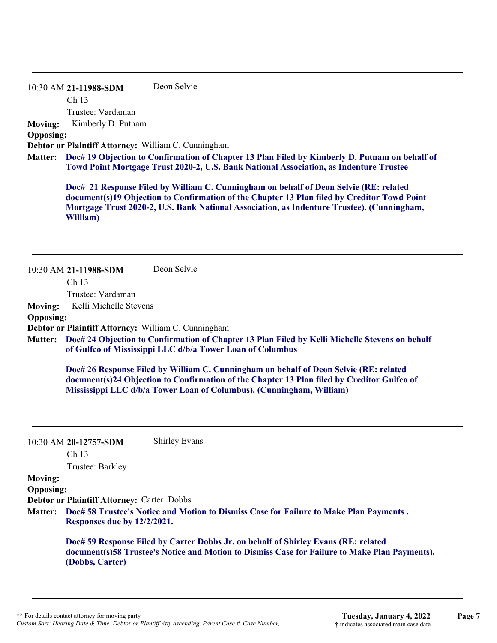10:30 AM **21-11988-SDM**  Ch 13 Trustee: Vardaman Deon Selvie **Moving:** Kimberly D. Putnam

**Opposing:**

**Debtor or Plaintiff Attorney:** William C. Cunningham

**Doc# 19 Objection to Confirmation of Chapter 13 Plan Filed by Kimberly D. Putnam on behalf of Matter: Towd Point Mortgage Trust 2020-2, U.S. Bank National Association, as Indenture Trustee**

**Doc# 21 Response Filed by William C. Cunningham on behalf of Deon Selvie (RE: related document(s)19 Objection to Confirmation of the Chapter 13 Plan filed by Creditor Towd Point Mortgage Trust 2020-2, U.S. Bank National Association, as Indenture Trustee). (Cunningham, William)**

10:30 AM **21-11988-SDM**  Ch 13 Trustee: Vardaman Deon Selvie **Moving:** Kelli Michelle Stevens **Opposing: Debtor or Plaintiff Attorney:** William C. Cunningham

**Doc# 24 Objection to Confirmation of Chapter 13 Plan Filed by Kelli Michelle Stevens on behalf Matter: of Gulfco of Mississippi LLC d/b/a Tower Loan of Columbus**

**Doc# 26 Response Filed by William C. Cunningham on behalf of Deon Selvie (RE: related document(s)24 Objection to Confirmation of the Chapter 13 Plan filed by Creditor Gulfco of Mississippi LLC d/b/a Tower Loan of Columbus). (Cunningham, William)**

10:30 AM **20-12757-SDM**  Shirley Evans

Ch 13

Trustee: Barkley

### **Moving:**

**Opposing:**

**Debtor or Plaintiff Attorney:** Carter Dobbs

**Doc# 58 Trustee's Notice and Motion to Dismiss Case for Failure to Make Plan Payments . Matter: Responses due by 12/2/2021.**

**Doc# 59 Response Filed by Carter Dobbs Jr. on behalf of Shirley Evans (RE: related document(s)58 Trustee's Notice and Motion to Dismiss Case for Failure to Make Plan Payments). (Dobbs, Carter)**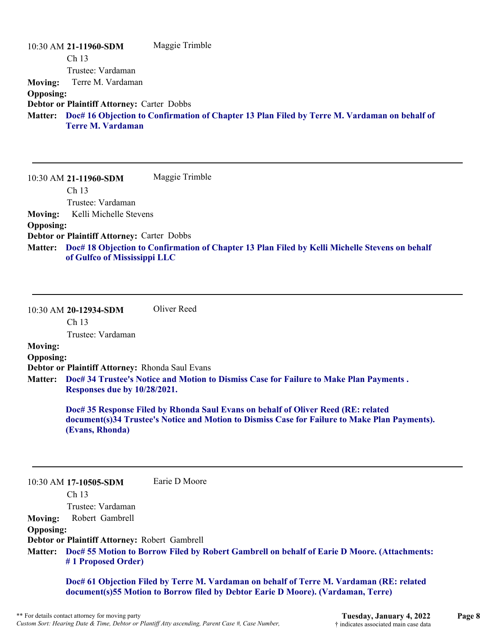|                  | 10:30 AM 21-11960-SDM                             | Maggie Trimble                                                                                       |
|------------------|---------------------------------------------------|------------------------------------------------------------------------------------------------------|
|                  | Ch <sub>13</sub>                                  |                                                                                                      |
|                  | Trustee: Vardaman                                 |                                                                                                      |
|                  | Moving: Terre M. Vardaman                         |                                                                                                      |
| <b>Opposing:</b> |                                                   |                                                                                                      |
|                  | <b>Debtor or Plaintiff Attorney: Carter Dobbs</b> |                                                                                                      |
|                  | <b>Terre M. Vardaman</b>                          | Matter: Doc# 16 Objection to Confirmation of Chapter 13 Plan Filed by Terre M. Vardaman on behalf of |

10:30 AM **21-11960-SDM**  Ch 13 Trustee: Vardaman Maggie Trimble **Moving:** Kelli Michelle Stevens **Opposing: Debtor or Plaintiff Attorney:** Carter Dobbs **Doc# 18 Objection to Confirmation of Chapter 13 Plan Filed by Kelli Michelle Stevens on behalf Matter: of Gulfco of Mississippi LLC**

10:30 AM **20-12934-SDM**  Oliver Reed

Ch 13

Trustee: Vardaman

# **Moving:**

**Opposing: Debtor or Plaintiff Attorney:** Rhonda Saul Evans

**Doc# 34 Trustee's Notice and Motion to Dismiss Case for Failure to Make Plan Payments . Matter: Responses due by 10/28/2021.**

> **Doc# 35 Response Filed by Rhonda Saul Evans on behalf of Oliver Reed (RE: related document(s)34 Trustee's Notice and Motion to Dismiss Case for Failure to Make Plan Payments). (Evans, Rhonda)**

10:30 AM **17-10505-SDM**  Earie D Moore

Ch 13

Trustee: Vardaman **Moving:** Robert Gambrell

**Opposing:**

**Debtor or Plaintiff Attorney:** Robert Gambrell

**Doc# 55 Motion to Borrow Filed by Robert Gambrell on behalf of Earie D Moore. (Attachments: Matter: # 1 Proposed Order)**

**Doc# 61 Objection Filed by Terre M. Vardaman on behalf of Terre M. Vardaman (RE: related document(s)55 Motion to Borrow filed by Debtor Earie D Moore). (Vardaman, Terre)**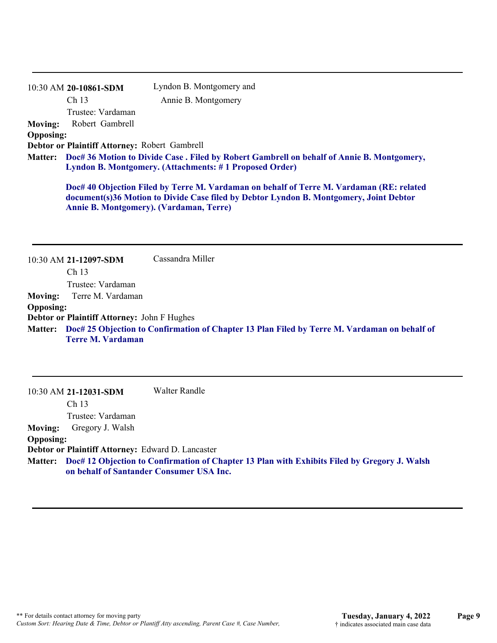|                  | 10:30 AM 20-10861-SDM                                                                                                                               | Lyndon B. Montgomery and                                                                                                                                                                                                             |  |  |
|------------------|-----------------------------------------------------------------------------------------------------------------------------------------------------|--------------------------------------------------------------------------------------------------------------------------------------------------------------------------------------------------------------------------------------|--|--|
|                  | Ch <sub>13</sub>                                                                                                                                    | Annie B. Montgomery                                                                                                                                                                                                                  |  |  |
|                  | Trustee: Vardaman                                                                                                                                   |                                                                                                                                                                                                                                      |  |  |
| <b>Moving:</b>   | Robert Gambrell                                                                                                                                     |                                                                                                                                                                                                                                      |  |  |
| <b>Opposing:</b> |                                                                                                                                                     |                                                                                                                                                                                                                                      |  |  |
|                  | Debtor or Plaintiff Attorney: Robert Gambrell                                                                                                       |                                                                                                                                                                                                                                      |  |  |
| <b>Matter:</b>   | Doc# 36 Motion to Divide Case. Filed by Robert Gambrell on behalf of Annie B. Montgomery,<br>Lyndon B. Montgomery. (Attachments: #1 Proposed Order) |                                                                                                                                                                                                                                      |  |  |
|                  |                                                                                                                                                     | Doc# 40 Objection Filed by Terre M. Vardaman on behalf of Terre M. Vardaman (RE: related<br>document(s)36 Motion to Divide Case filed by Debtor Lyndon B. Montgomery, Joint Debtor<br><b>Annie B. Montgomery). (Vardaman, Terre)</b> |  |  |
|                  | $10:30$ AM 21-12097-SDM                                                                                                                             | Cassandra Miller                                                                                                                                                                                                                     |  |  |

10:30 AM **21-12031-SDM**  Ch 13 Trustee: Vardaman Walter Randle **Moving:** Gregory J. Walsh **Opposing: Debtor or Plaintiff Attorney:** Edward D. Lancaster **Doc# 12 Objection to Confirmation of Chapter 13 Plan with Exhibits Filed by Gregory J. Walsh Matter: on behalf of Santander Consumer USA Inc.**

**Doc# 25 Objection to Confirmation of Chapter 13 Plan Filed by Terre M. Vardaman on behalf of Matter:**

Trustee: Vardaman

**Debtor or Plaintiff Attorney:** John F Hughes

**Terre M. Vardaman**

**Moving:** Terre M. Vardaman

**Opposing:**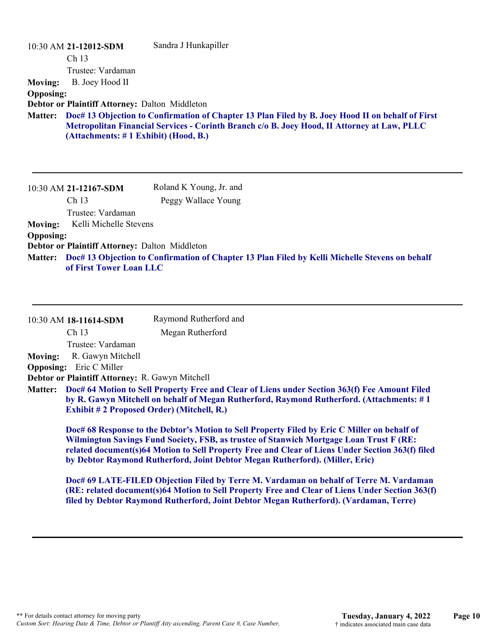| 10:30 AM 21-12012-SDM                                 | Sandra J Hunkapiller                                                                             |
|-------------------------------------------------------|--------------------------------------------------------------------------------------------------|
| Ch <sub>13</sub>                                      |                                                                                                  |
| Trustee: Vardaman                                     |                                                                                                  |
| B. Joey Hood II<br><b>Moving:</b>                     |                                                                                                  |
| <b>Opposing:</b>                                      |                                                                                                  |
| <b>Debtor or Plaintiff Attorney: Dalton Middleton</b> |                                                                                                  |
| <b>Matter:</b>                                        | Doc# 13 Objection to Confirmation of Chapter 13 Plan Filed by B. Joey Hood II on behalf of First |
|                                                       | Metropolitan Financial Services - Corinth Branch c/o B. Joey Hood, II Attorney at Law, PLLC      |
| (Attachments: #1 Exhibit) (Hood, B.)                  |                                                                                                  |
|                                                       |                                                                                                  |
|                                                       |                                                                                                  |
| 10:30 AM 21-12167-SDM                                 | Roland K Young, Jr. and                                                                          |
| Ch <sub>13</sub>                                      | Peggy Wallace Young                                                                              |
| Trustee: Vardaman                                     |                                                                                                  |
| Kelli Michelle Stevens<br><b>Moving:</b>              |                                                                                                  |
| <b>Opposing:</b>                                      |                                                                                                  |
| Debtor or Plaintiff Attorney: Dalton Middleton        |                                                                                                  |

**Doc# 13 Objection to Confirmation of Chapter 13 Plan Filed by Kelli Michelle Stevens on behalf Matter: of First Tower Loan LLC**

| 10:30 AM 18-11614-SDM | Raymond Rutherford and                                                                                                                                                                                                                                                                                                                                                      |
|-----------------------|-----------------------------------------------------------------------------------------------------------------------------------------------------------------------------------------------------------------------------------------------------------------------------------------------------------------------------------------------------------------------------|
| Ch <sub>13</sub>      | Megan Rutherford                                                                                                                                                                                                                                                                                                                                                            |
|                       | Trustee: Vardaman                                                                                                                                                                                                                                                                                                                                                           |
| <b>Moving:</b>        | R. Gawyn Mitchell                                                                                                                                                                                                                                                                                                                                                           |
| <b>Opposing:</b>      | Eric C Miller                                                                                                                                                                                                                                                                                                                                                               |
|                       | Debtor or Plaintiff Attorney: R. Gawyn Mitchell                                                                                                                                                                                                                                                                                                                             |
| <b>Matter:</b>        | Doc# 64 Motion to Sell Property Free and Clear of Liens under Section 363(f) Fee Amount Filed<br>by R. Gawyn Mitchell on behalf of Megan Rutherford, Raymond Rutherford. (Attachments: #1<br><b>Exhibit #2 Proposed Order) (Mitchell, R.)</b>                                                                                                                               |
|                       | Doc# 68 Response to the Debtor's Motion to Sell Property Filed by Eric C Miller on behalf of<br>Wilmington Savings Fund Society, FSB, as trustee of Stanwich Mortgage Loan Trust F (RE:<br>related document(s)64 Motion to Sell Property Free and Clear of Liens Under Section 363(f) filed<br>by Debtor Raymond Rutherford, Joint Debtor Megan Rutherford). (Miller, Eric) |

**Doc# 69 LATE-FILED Objection Filed by Terre M. Vardaman on behalf of Terre M. Vardaman (RE: related document(s)64 Motion to Sell Property Free and Clear of Liens Under Section 363(f) filed by Debtor Raymond Rutherford, Joint Debtor Megan Rutherford). (Vardaman, Terre)**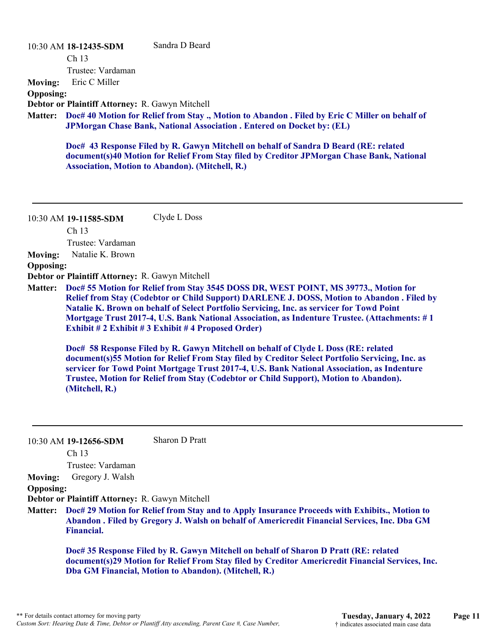|                  | 10:30 AM 18-12435-SDM                           | Sandra D Beard                                                                                                                                                                        |
|------------------|-------------------------------------------------|---------------------------------------------------------------------------------------------------------------------------------------------------------------------------------------|
|                  | Ch <sub>13</sub>                                |                                                                                                                                                                                       |
|                  | Trustee: Vardaman                               |                                                                                                                                                                                       |
| <b>Moving:</b>   | Eric C Miller                                   |                                                                                                                                                                                       |
| <b>Opposing:</b> |                                                 |                                                                                                                                                                                       |
|                  | Debtor or Plaintiff Attorney: R. Gawyn Mitchell |                                                                                                                                                                                       |
|                  |                                                 | Matter: Doc# 40 Motion for Relief from Stay., Motion to Abandon. Filed by Eric C Miller on behalf of<br><b>JPMorgan Chase Bank, National Association . Entered on Docket by: (EL)</b> |
|                  |                                                 |                                                                                                                                                                                       |

**Doc# 43 Response Filed by R. Gawyn Mitchell on behalf of Sandra D Beard (RE: related document(s)40 Motion for Relief From Stay filed by Creditor JPMorgan Chase Bank, National Association, Motion to Abandon). (Mitchell, R.)**

10:30 AM **19-11585-SDM**  Clyde L Doss

Ch 13

Trustee: Vardaman

**Moving:** Natalie K. Brown

#### **Opposing:**

**Debtor or Plaintiff Attorney:** R. Gawyn Mitchell

**Doc# 55 Motion for Relief from Stay 3545 DOSS DR, WEST POINT, MS 39773., Motion for Matter: Relief from Stay (Codebtor or Child Support) DARLENE J. DOSS, Motion to Abandon . Filed by Natalie K. Brown on behalf of Select Portfolio Servicing, Inc. as servicer for Towd Point Mortgage Trust 2017-4, U.S. Bank National Association, as Indenture Trustee. (Attachments: # 1 Exhibit # 2 Exhibit # 3 Exhibit # 4 Proposed Order)**

**Doc# 58 Response Filed by R. Gawyn Mitchell on behalf of Clyde L Doss (RE: related document(s)55 Motion for Relief From Stay filed by Creditor Select Portfolio Servicing, Inc. as servicer for Towd Point Mortgage Trust 2017-4, U.S. Bank National Association, as Indenture Trustee, Motion for Relief from Stay (Codebtor or Child Support), Motion to Abandon). (Mitchell, R.)**

10:30 AM **19-12656-SDM**  Sharon D Pratt

Ch 13

Trustee: Vardaman

#### **Moving:** Gregory J. Walsh **Opposing:**

**Debtor or Plaintiff Attorney:** R. Gawyn Mitchell

**Doc# 29 Motion for Relief from Stay and to Apply Insurance Proceeds with Exhibits., Motion to Matter: Abandon . Filed by Gregory J. Walsh on behalf of Americredit Financial Services, Inc. Dba GM Financial.**

**Doc# 35 Response Filed by R. Gawyn Mitchell on behalf of Sharon D Pratt (RE: related document(s)29 Motion for Relief From Stay filed by Creditor Americredit Financial Services, Inc. Dba GM Financial, Motion to Abandon). (Mitchell, R.)**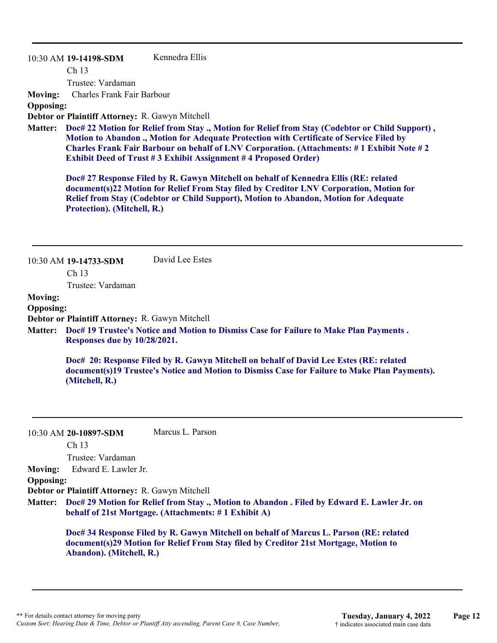10:30 AM **19-14198-SDM**  Ch 13 Trustee: Vardaman Kennedra Ellis **Moving:** Charles Frank Fair Barbour **Opposing:**

**Debtor or Plaintiff Attorney:** R. Gawyn Mitchell

**Doc# 22 Motion for Relief from Stay ., Motion for Relief from Stay (Codebtor or Child Support) , Matter: Motion to Abandon ., Motion for Adequate Protection with Certificate of Service Filed by Charles Frank Fair Barbour on behalf of LNV Corporation. (Attachments: # 1 Exhibit Note # 2 Exhibit Deed of Trust # 3 Exhibit Assignment # 4 Proposed Order)**

**Doc# 27 Response Filed by R. Gawyn Mitchell on behalf of Kennedra Ellis (RE: related document(s)22 Motion for Relief From Stay filed by Creditor LNV Corporation, Motion for Relief from Stay (Codebtor or Child Support), Motion to Abandon, Motion for Adequate Protection). (Mitchell, R.)**

|                  | 10:30 AM 19-14733-SDM                           | David Lee Estes                                                                                                                                                                         |
|------------------|-------------------------------------------------|-----------------------------------------------------------------------------------------------------------------------------------------------------------------------------------------|
|                  | Ch <sub>13</sub>                                |                                                                                                                                                                                         |
|                  | Trustee: Vardaman                               |                                                                                                                                                                                         |
| <b>Moving:</b>   |                                                 |                                                                                                                                                                                         |
| <b>Opposing:</b> |                                                 |                                                                                                                                                                                         |
|                  | Debtor or Plaintiff Attorney: R. Gawyn Mitchell |                                                                                                                                                                                         |
|                  | Responses due by 10/28/2021.                    | Matter: Doc# 19 Trustee's Notice and Motion to Dismiss Case for Failure to Make Plan Payments.                                                                                          |
|                  | (Mitchell, R.)                                  | Doc# 20: Response Filed by R. Gawyn Mitchell on behalf of David Lee Estes (RE: related<br>document(s)19 Trustee's Notice and Motion to Dismiss Case for Failure to Make Plan Payments). |
|                  | 10:30 AM 20-10897-SDM<br>Ch <sub>13</sub>       | Marcus L. Parson                                                                                                                                                                        |
|                  | Trustee: Vardaman                               |                                                                                                                                                                                         |
| <b>Moving:</b>   | Edward E. Lawler Jr.                            |                                                                                                                                                                                         |
| <b>Opposing:</b> |                                                 |                                                                                                                                                                                         |
|                  | Debtor or Plaintiff Attorney: R. Gawyn Mitchell |                                                                                                                                                                                         |
| <b>Matter:</b>   |                                                 | Doc# 29 Motion for Relief from Stay., Motion to Abandon. Filed by Edward E. Lawler Jr. on<br>behalf of 21st Mortgage. (Attachments: #1 Exhibit A)                                       |
|                  | Abandon). (Mitchell, R.)                        | Doc# 34 Response Filed by R. Gawyn Mitchell on behalf of Marcus L. Parson (RE: related<br>document(s)29 Motion for Relief From Stay filed by Creditor 21st Mortgage, Motion to          |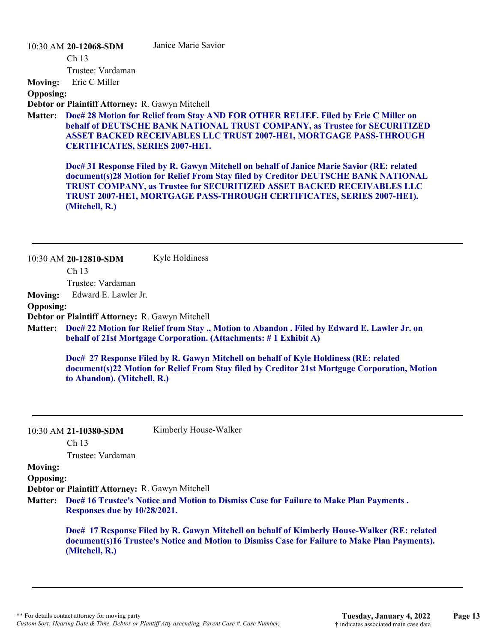10:30 AM **20-12068-SDM** 

Janice Marie Savior

Ch 13

Trustee: Vardaman

**Moving:** Eric C Miller

**Opposing:**

**Debtor or Plaintiff Attorney:** R. Gawyn Mitchell

**Doc# 28 Motion for Relief from Stay AND FOR OTHER RELIEF. Filed by Eric C Miller on Matter: behalf of DEUTSCHE BANK NATIONAL TRUST COMPANY, as Trustee for SECURITIZED ASSET BACKED RECEIVABLES LLC TRUST 2007-HE1, MORTGAGE PASS-THROUGH CERTIFICATES, SERIES 2007-HE1.**

**Doc# 31 Response Filed by R. Gawyn Mitchell on behalf of Janice Marie Savior (RE: related document(s)28 Motion for Relief From Stay filed by Creditor DEUTSCHE BANK NATIONAL TRUST COMPANY, as Trustee for SECURITIZED ASSET BACKED RECEIVABLES LLC TRUST 2007-HE1, MORTGAGE PASS-THROUGH CERTIFICATES, SERIES 2007-HE1). (Mitchell, R.)**

10:30 AM **20-12810-SDM**  Kyle Holdiness

Ch 13

Trustee: Vardaman

**Moving:** Edward E. Lawler Jr.

**Opposing:**

**Debtor or Plaintiff Attorney:** R. Gawyn Mitchell

**Doc# 22 Motion for Relief from Stay ., Motion to Abandon . Filed by Edward E. Lawler Jr. on Matter: behalf of 21st Mortgage Corporation. (Attachments: # 1 Exhibit A)**

**Doc# 27 Response Filed by R. Gawyn Mitchell on behalf of Kyle Holdiness (RE: related document(s)22 Motion for Relief From Stay filed by Creditor 21st Mortgage Corporation, Motion to Abandon). (Mitchell, R.)**

10:30 AM **21-10380-SDM** 

Kimberly House-Walker

Ch 13

Trustee: Vardaman

**Moving:**

**Opposing:**

**Debtor or Plaintiff Attorney:** R. Gawyn Mitchell

**Doc# 16 Trustee's Notice and Motion to Dismiss Case for Failure to Make Plan Payments . Matter: Responses due by 10/28/2021.**

> **Doc# 17 Response Filed by R. Gawyn Mitchell on behalf of Kimberly House-Walker (RE: related document(s)16 Trustee's Notice and Motion to Dismiss Case for Failure to Make Plan Payments). (Mitchell, R.)**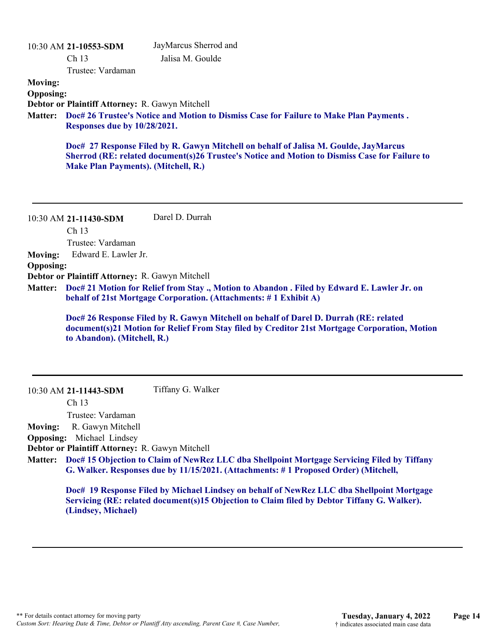|                  | 10:30 AM 21-10553-SDM                           | JayMarcus Sherrod and                                                                                                                                                                  |
|------------------|-------------------------------------------------|----------------------------------------------------------------------------------------------------------------------------------------------------------------------------------------|
|                  | Ch <sub>13</sub>                                | Jalisa M. Goulde                                                                                                                                                                       |
|                  | Trustee: Vardaman                               |                                                                                                                                                                                        |
| <b>Moving:</b>   |                                                 |                                                                                                                                                                                        |
| <b>Opposing:</b> |                                                 |                                                                                                                                                                                        |
|                  | Debtor or Plaintiff Attorney: R. Gawyn Mitchell |                                                                                                                                                                                        |
| Matter:          | <b>Responses due by 10/28/2021.</b>             | Doc# 26 Trustee's Notice and Motion to Dismiss Case for Failure to Make Plan Payments.                                                                                                 |
|                  | <b>Make Plan Payments). (Mitchell, R.)</b>      | Doc# 27 Response Filed by R. Gawyn Mitchell on behalf of Jalisa M. Goulde, JayMarcus<br>Sherrod (RE: related document(s)26 Trustee's Notice and Motion to Dismiss Case for Failure to  |
|                  | 10:30 AM 21-11430-SDM                           | Darel D. Durrah                                                                                                                                                                        |
|                  | Ch 13                                           |                                                                                                                                                                                        |
|                  | Trustee: Vardaman                               |                                                                                                                                                                                        |
| <b>Moving:</b>   | Edward E. Lawler Jr.                            |                                                                                                                                                                                        |
| <b>Opposing:</b> |                                                 |                                                                                                                                                                                        |
|                  | Debtor or Plaintiff Attorney: R. Gawyn Mitchell |                                                                                                                                                                                        |
| <b>Matter:</b>   |                                                 | Doc# 21 Motion for Relief from Stay., Motion to Abandon. Filed by Edward E. Lawler Jr. on<br>behalf of 21st Mortgage Corporation. (Attachments: #1 Exhibit A)                          |
|                  | to Abandon). (Mitchell, R.)                     | Doc# 26 Response Filed by R. Gawyn Mitchell on behalf of Darel D. Durrah (RE: related<br>document(s)21 Motion for Relief From Stay filed by Creditor 21st Mortgage Corporation, Motion |

10:30 AM **21-11443-SDM**  Tiffany G. Walker

Ch 13

Trustee: Vardaman

**Moving:** R. Gawyn Mitchell

**Opposing:** Michael Lindsey

**Debtor or Plaintiff Attorney:** R. Gawyn Mitchell

**Doc# 15 Objection to Claim of NewRez LLC dba Shellpoint Mortgage Servicing Filed by Tiffany Matter: G. Walker. Responses due by 11/15/2021. (Attachments: # 1 Proposed Order) (Mitchell,** 

**Doc# 19 Response Filed by Michael Lindsey on behalf of NewRez LLC dba Shellpoint Mortgage Servicing (RE: related document(s)15 Objection to Claim filed by Debtor Tiffany G. Walker). (Lindsey, Michael)**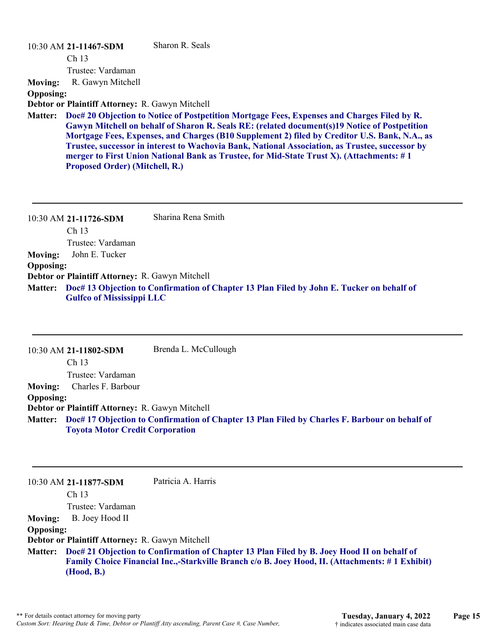#### 10:30 AM **21-11467-SDM**

Sharon R. Seals

Ch 13

Trustee: Vardaman

**Moving:** R. Gawyn Mitchell

**Opposing:**

**Debtor or Plaintiff Attorney:** R. Gawyn Mitchell

**Doc# 20 Objection to Notice of Postpetition Mortgage Fees, Expenses and Charges Filed by R. Matter: Gawyn Mitchell on behalf of Sharon R. Seals RE: (related document(s)19 Notice of Postpetition Mortgage Fees, Expenses, and Charges (B10 Supplement 2) filed by Creditor U.S. Bank, N.A., as Trustee, successor in interest to Wachovia Bank, National Association, as Trustee, successor by merger to First Union National Bank as Trustee, for Mid-State Trust X). (Attachments: # 1 Proposed Order) (Mitchell, R.)**

|                  | 10:30 AM 21-11726-SDM                                  | Sharina Rena Smith                                                                                |
|------------------|--------------------------------------------------------|---------------------------------------------------------------------------------------------------|
|                  | Ch <sub>13</sub>                                       |                                                                                                   |
|                  | Trustee: Vardaman                                      |                                                                                                   |
| <b>Moving:</b>   | John E. Tucker                                         |                                                                                                   |
| <b>Opposing:</b> |                                                        |                                                                                                   |
|                  | <b>Debtor or Plaintiff Attorney: R. Gawyn Mitchell</b> |                                                                                                   |
|                  | <b>Gulfco of Mississippi LLC</b>                       | Matter: Doc# 13 Objection to Confirmation of Chapter 13 Plan Filed by John E. Tucker on behalf of |

10:30 AM **21-11802-SDM**  Ch 13 Trustee: Vardaman Brenda L. McCullough **Moving:** Charles F. Barbour **Opposing: Debtor or Plaintiff Attorney:** R. Gawyn Mitchell **Doc# 17 Objection to Confirmation of Chapter 13 Plan Filed by Charles F. Barbour on behalf of Matter: Toyota Motor Credit Corporation**

10:30 AM **21-11877-SDM**  Patricia A. Harris

Ch 13

Trustee: Vardaman

**Moving:** B. Joey Hood II

**Opposing:**

**Debtor or Plaintiff Attorney:** R. Gawyn Mitchell

**Doc# 21 Objection to Confirmation of Chapter 13 Plan Filed by B. Joey Hood II on behalf of Matter: Family Choice Financial Inc.,-Starkville Branch c/o B. Joey Hood, II. (Attachments: # 1 Exhibit) (Hood, B.)**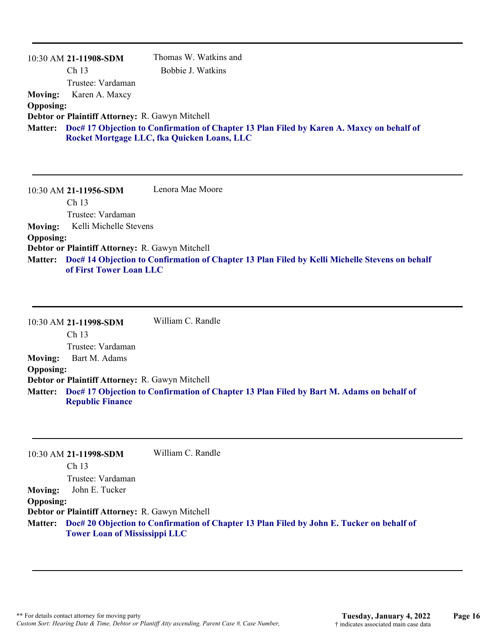|                  | 10:30 AM 21-11908-SDM                                                                                                                            | Thomas W. Watkins and |  |
|------------------|--------------------------------------------------------------------------------------------------------------------------------------------------|-----------------------|--|
|                  | Ch <sub>13</sub>                                                                                                                                 | Bobbie J. Watkins     |  |
|                  | Trustee: Vardaman                                                                                                                                |                       |  |
| <b>Moving:</b>   | Karen A. Maxcy                                                                                                                                   |                       |  |
| <b>Opposing:</b> |                                                                                                                                                  |                       |  |
|                  | Debtor or Plaintiff Attorney: R. Gawyn Mitchell                                                                                                  |                       |  |
|                  | Matter: Doc# 17 Objection to Confirmation of Chapter 13 Plan Filed by Karen A. Maxcy on behalf of<br>Rocket Mortgage LLC, fka Quicken Loans, LLC |                       |  |

10:30 AM **21-11956-SDM**  Ch 13 Trustee: Vardaman Lenora Mae Moore **Moving:** Kelli Michelle Stevens **Opposing: Debtor or Plaintiff Attorney:** R. Gawyn Mitchell **Doc# 14 Objection to Confirmation of Chapter 13 Plan Filed by Kelli Michelle Stevens on behalf Matter: of First Tower Loan LLC**

10:30 AM **21-11998-SDM**  Ch 13 Trustee: Vardaman William C. Randle **Moving:** Bart M. Adams **Opposing: Debtor or Plaintiff Attorney:** R. Gawyn Mitchell **Doc# 17 Objection to Confirmation of Chapter 13 Plan Filed by Bart M. Adams on behalf of Matter: Republic Finance**

|                  | 10:30 AM 21-11998-SDM                           | William C. Randle                                                                                 |
|------------------|-------------------------------------------------|---------------------------------------------------------------------------------------------------|
|                  | Ch <sub>13</sub>                                |                                                                                                   |
|                  | Trustee: Vardaman                               |                                                                                                   |
| <b>Moving:</b>   | John E. Tucker                                  |                                                                                                   |
| <b>Opposing:</b> |                                                 |                                                                                                   |
|                  | Debtor or Plaintiff Attorney: R. Gawyn Mitchell |                                                                                                   |
|                  | <b>Tower Loan of Mississippi LLC</b>            | Matter: Doc# 20 Objection to Confirmation of Chapter 13 Plan Filed by John E. Tucker on behalf of |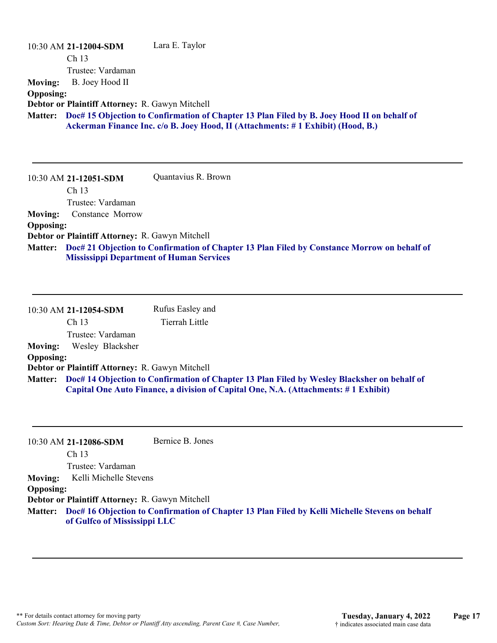| <b>Moving:</b><br><b>Opposing:</b> | 10:30 AM 21-12004-SDM<br>Ch 13<br>Trustee: Vardaman<br>B. Joey Hood II | Lara E. Taylor                                                                                                                                                                |
|------------------------------------|------------------------------------------------------------------------|-------------------------------------------------------------------------------------------------------------------------------------------------------------------------------|
|                                    | Debtor or Plaintiff Attorney: R. Gawyn Mitchell                        |                                                                                                                                                                               |
| <b>Matter:</b>                     |                                                                        | Doc# 15 Objection to Confirmation of Chapter 13 Plan Filed by B. Joey Hood II on behalf of<br>Ackerman Finance Inc. c/o B. Joey Hood, II (Attachments: #1 Exhibit) (Hood, B.) |
|                                    | 10:30 AM 21-12051-SDM                                                  | Quantavius R. Brown                                                                                                                                                           |
|                                    | Ch <sub>13</sub><br>Trustee: Vardaman                                  |                                                                                                                                                                               |
| <b>Moving:</b>                     | Constance Morrow                                                       |                                                                                                                                                                               |
| <b>Opposing:</b>                   |                                                                        |                                                                                                                                                                               |
|                                    | Debtor or Plaintiff Attorney: R. Gawyn Mitchell                        |                                                                                                                                                                               |
| <b>Matter:</b>                     | <b>Mississippi Department of Human Services</b>                        | Doc# 21 Objection to Confirmation of Chapter 13 Plan Filed by Constance Morrow on behalf of                                                                                   |
|                                    | 10:30 AM 21-12054-SDM                                                  | Rufus Easley and                                                                                                                                                              |
|                                    | Ch 13                                                                  | <b>Tierrah Little</b>                                                                                                                                                         |
|                                    | Trustee: Vardaman                                                      |                                                                                                                                                                               |
| <b>Moving:</b>                     | Wesley Blacksher                                                       |                                                                                                                                                                               |
| <b>Opposing:</b>                   |                                                                        |                                                                                                                                                                               |
| <b>Matter:</b>                     | Debtor or Plaintiff Attorney: R. Gawyn Mitchell                        | Doc# 14 Objection to Confirmation of Chapter 13 Plan Filed by Wesley Blacksher on behalf of                                                                                   |
|                                    |                                                                        | Capital One Auto Finance, a division of Capital One, N.A. (Attachments: #1 Exhibit)                                                                                           |

|                   | Bernice B. Jones                                                                                                                                                           |
|-------------------|----------------------------------------------------------------------------------------------------------------------------------------------------------------------------|
|                   |                                                                                                                                                                            |
| Trustee: Vardaman |                                                                                                                                                                            |
|                   |                                                                                                                                                                            |
|                   |                                                                                                                                                                            |
|                   |                                                                                                                                                                            |
|                   | Matter: Doc# 16 Objection to Confirmation of Chapter 13 Plan Filed by Kelli Michelle Stevens on behalf                                                                     |
|                   | 10:30 AM 21-12086-SDM<br>Ch <sub>13</sub><br>Kelli Michelle Stevens<br><b>Opposing:</b><br>Debtor or Plaintiff Attorney: R. Gawyn Mitchell<br>of Gulfco of Mississippi LLC |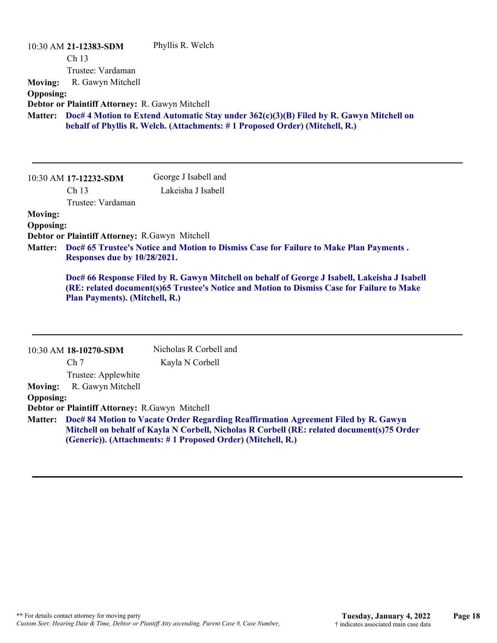|                                    | 10:30 AM 21-12383-SDM<br>Ch 13<br>Trustee: Vardaman<br>R. Gawyn Mitchell | Phyllis R. Welch                                                                                                                                                                            |
|------------------------------------|--------------------------------------------------------------------------|---------------------------------------------------------------------------------------------------------------------------------------------------------------------------------------------|
| <b>Moving:</b><br><b>Opposing:</b> |                                                                          |                                                                                                                                                                                             |
|                                    | Debtor or Plaintiff Attorney: R. Gawyn Mitchell                          |                                                                                                                                                                                             |
| <b>Matter:</b>                     |                                                                          | Doc# 4 Motion to Extend Automatic Stay under 362(c)(3)(B) Filed by R. Gawyn Mitchell on<br>behalf of Phyllis R. Welch. (Attachments: #1 Proposed Order) (Mitchell, R.)                      |
|                                    | 10:30 AM 17-12232-SDM                                                    | George J Isabell and                                                                                                                                                                        |
|                                    | Ch <sub>13</sub>                                                         | Lakeisha J Isabell                                                                                                                                                                          |
|                                    | Trustee: Vardaman                                                        |                                                                                                                                                                                             |
| <b>Moving:</b><br><b>Opposing:</b> | Debtor or Plaintiff Attorney: R.Gawyn Mitchell                           |                                                                                                                                                                                             |
| <b>Matter:</b>                     | Responses due by 10/28/2021.                                             | Doc# 65 Trustee's Notice and Motion to Dismiss Case for Failure to Make Plan Payments.                                                                                                      |
|                                    | Plan Payments). (Mitchell, R.)                                           | Doc# 66 Response Filed by R. Gawyn Mitchell on behalf of George J Isabell, Lakeisha J Isabell<br>(RE: related document(s)65 Trustee's Notice and Motion to Dismiss Case for Failure to Make |

|                  | 10:30 AM 18-10270-SDM                                                                                                                                                                                                                           | Nicholas R Corbell and |
|------------------|-------------------------------------------------------------------------------------------------------------------------------------------------------------------------------------------------------------------------------------------------|------------------------|
|                  | Ch <sub>7</sub>                                                                                                                                                                                                                                 | Kayla N Corbell        |
|                  | Trustee: Applewhite                                                                                                                                                                                                                             |                        |
| <b>Moving:</b>   | R. Gawyn Mitchell                                                                                                                                                                                                                               |                        |
| <b>Opposing:</b> |                                                                                                                                                                                                                                                 |                        |
|                  | Debtor or Plaintiff Attorney: R.Gawyn Mitchell                                                                                                                                                                                                  |                        |
| <b>Matter:</b>   | Doc# 84 Motion to Vacate Order Regarding Reaffirmation Agreement Filed by R. Gawyn<br>Mitchell on behalf of Kayla N Corbell, Nicholas R Corbell (RE: related document(s)75 Order<br>(Generic)). (Attachments: #1 Proposed Order) (Mitchell, R.) |                        |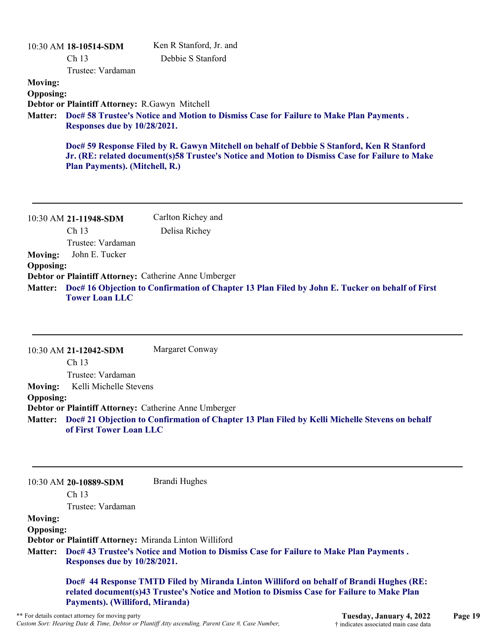|                                                                                                                                          | $10:30$ AM $18-10514$ -SDM                     | Ken R Stanford, Jr. and                                                                                                                                                                      |
|------------------------------------------------------------------------------------------------------------------------------------------|------------------------------------------------|----------------------------------------------------------------------------------------------------------------------------------------------------------------------------------------------|
|                                                                                                                                          | Ch <sub>13</sub>                               | Debbie S Stanford                                                                                                                                                                            |
|                                                                                                                                          | Trustee: Vardaman                              |                                                                                                                                                                                              |
| <b>Moving:</b>                                                                                                                           |                                                |                                                                                                                                                                                              |
| <b>Opposing:</b>                                                                                                                         |                                                |                                                                                                                                                                                              |
|                                                                                                                                          | Debtor or Plaintiff Attorney: R.Gawyn Mitchell |                                                                                                                                                                                              |
| Doc# 58 Trustee's Notice and Motion to Dismiss Case for Failure to Make Plan Payments.<br><b>Matter:</b><br>Responses due by 10/28/2021. |                                                |                                                                                                                                                                                              |
|                                                                                                                                          | Plan Payments). (Mitchell, R.)                 | Doc# 59 Response Filed by R. Gawyn Mitchell on behalf of Debbie S Stanford, Ken R Stanford<br>Jr. (RE: related document(s)58 Trustee's Notice and Motion to Dismiss Case for Failure to Make |
|                                                                                                                                          | 10:30 AM 21-11948-SDM                          | Carlton Richey and                                                                                                                                                                           |

|                  | Ch <sub>13</sub>                                             | Delisa Richey                                                                                           |
|------------------|--------------------------------------------------------------|---------------------------------------------------------------------------------------------------------|
|                  | Trustee: Vardaman                                            |                                                                                                         |
| <b>Moving:</b>   | John E. Tucker                                               |                                                                                                         |
| <b>Opposing:</b> |                                                              |                                                                                                         |
|                  | <b>Debtor or Plaintiff Attorney: Catherine Anne Umberger</b> |                                                                                                         |
|                  |                                                              | Matter: Doc# 16 Objection to Confirmation of Chapter 13 Plan Filed by John E. Tucker on behalf of First |
|                  | <b>Tower Loan LLC</b>                                        |                                                                                                         |

10:30 AM **21-12042-SDM**  Ch 13 Trustee: Vardaman Margaret Conway **Moving:** Kelli Michelle Stevens **Opposing: Debtor or Plaintiff Attorney:** Catherine Anne Umberger **Doc# 21 Objection to Confirmation of Chapter 13 Plan Filed by Kelli Michelle Stevens on behalf Matter: of First Tower Loan LLC**

10:30 AM **20-10889-SDM**  Brandi Hughes

Ch 13

Trustee: Vardaman

**Moving:**

**Opposing:**

**Debtor or Plaintiff Attorney:** Miranda Linton Williford

**Doc# 43 Trustee's Notice and Motion to Dismiss Case for Failure to Make Plan Payments . Matter: Responses due by 10/28/2021.**

**Doc# 44 Response TMTD Filed by Miranda Linton Williford on behalf of Brandi Hughes (RE: related document(s)43 Trustee's Notice and Motion to Dismiss Case for Failure to Make Plan Payments). (Williford, Miranda)**